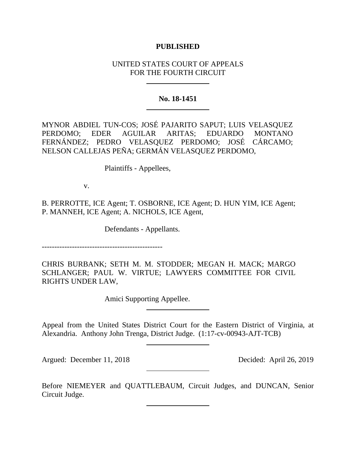## **PUBLISHED**

## UNITED STATES COURT OF APPEALS FOR THE FOURTH CIRCUIT

## **No. 18-1451**

MYNOR ABDIEL TUN-COS; JOSÉ PAJARITO SAPUT; LUIS VELASQUEZ PERDOMO; EDER AGUILAR ARITAS; EDUARDO MONTANO FERNÁNDEZ; PEDRO VELASQUEZ PERDOMO; JOSÉ CÁRCAMO; NELSON CALLEJAS PEÑA; GERMÁN VELASQUEZ PERDOMO,

Plaintiffs - Appellees,

v.

B. PERROTTE, ICE Agent; T. OSBORNE, ICE Agent; D. HUN YIM, ICE Agent; P. MANNEH, ICE Agent; A. NICHOLS, ICE Agent,

Defendants - Appellants.

------------------------------------------------

CHRIS BURBANK; SETH M. M. STODDER; MEGAN H. MACK; MARGO SCHLANGER; PAUL W. VIRTUE; LAWYERS COMMITTEE FOR CIVIL RIGHTS UNDER LAW,

Amici Supporting Appellee.

Appeal from the United States District Court for the Eastern District of Virginia, at Alexandria. Anthony John Trenga, District Judge. (1:17-cv-00943-AJT-TCB)

Argued: December 11, 2018 Decided: April 26, 2019

Before NIEMEYER and QUATTLEBAUM, Circuit Judges, and DUNCAN, Senior Circuit Judge.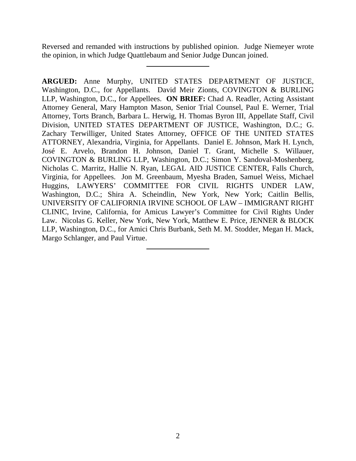Reversed and remanded with instructions by published opinion. Judge Niemeyer wrote the opinion, in which Judge Quattlebaum and Senior Judge Duncan joined.

**ARGUED:** Anne Murphy, UNITED STATES DEPARTMENT OF JUSTICE, Washington, D.C., for Appellants. David Meir Zionts, COVINGTON & BURLING LLP, Washington, D.C., for Appellees. **ON BRIEF:** Chad A. Readler, Acting Assistant Attorney General, Mary Hampton Mason, Senior Trial Counsel, Paul E. Werner, Trial Attorney, Torts Branch, Barbara L. Herwig, H. Thomas Byron III, Appellate Staff, Civil Division, UNITED STATES DEPARTMENT OF JUSTICE, Washington, D.C.; G. Zachary Terwilliger, United States Attorney, OFFICE OF THE UNITED STATES ATTORNEY, Alexandria, Virginia, for Appellants. Daniel E. Johnson, Mark H. Lynch, José E. Arvelo, Brandon H. Johnson, Daniel T. Grant, Michelle S. Willauer, COVINGTON & BURLING LLP, Washington, D.C.; Simon Y. Sandoval-Moshenberg, Nicholas C. Marritz, Hallie N. Ryan, LEGAL AID JUSTICE CENTER, Falls Church, Virginia, for Appellees. Jon M. Greenbaum, Myesha Braden, Samuel Weiss, Michael Huggins, LAWYERS' COMMITTEE FOR CIVIL RIGHTS UNDER LAW, Washington, D.C.; Shira A. Scheindlin, New York, New York; Caitlin Bellis, UNIVERSITY OF CALIFORNIA IRVINE SCHOOL OF LAW – IMMIGRANT RIGHT CLINIC, Irvine, California, for Amicus Lawyer's Committee for Civil Rights Under Law. Nicolas G. Keller, New York, New York, Matthew E. Price, JENNER & BLOCK LLP, Washington, D.C., for Amici Chris Burbank, Seth M. M. Stodder, Megan H. Mack, Margo Schlanger, and Paul Virtue.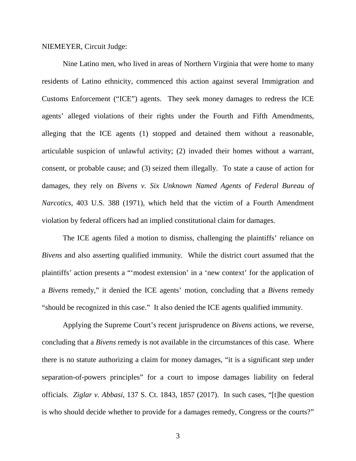#### NIEMEYER, Circuit Judge:

Nine Latino men, who lived in areas of Northern Virginia that were home to many residents of Latino ethnicity, commenced this action against several Immigration and Customs Enforcement ("ICE") agents. They seek money damages to redress the ICE agents' alleged violations of their rights under the Fourth and Fifth Amendments, alleging that the ICE agents (1) stopped and detained them without a reasonable, articulable suspicion of unlawful activity; (2) invaded their homes without a warrant, consent, or probable cause; and (3) seized them illegally. To state a cause of action for damages, they rely on *Bivens v. Six Unknown Named Agents of Federal Bureau of Narcotics*, 403 U.S. 388 (1971), which held that the victim of a Fourth Amendment violation by federal officers had an implied constitutional claim for damages.

The ICE agents filed a motion to dismiss, challenging the plaintiffs' reliance on *Bivens* and also asserting qualified immunity. While the district court assumed that the plaintiffs' action presents a "'modest extension' in a 'new context' for the application of a *Bivens* remedy," it denied the ICE agents' motion, concluding that a *Bivens* remedy "should be recognized in this case." It also denied the ICE agents qualified immunity.

Applying the Supreme Court's recent jurisprudence on *Bivens* actions, we reverse, concluding that a *Bivens* remedy is not available in the circumstances of this case. Where there is no statute authorizing a claim for money damages, "it is a significant step under separation-of-powers principles" for a court to impose damages liability on federal officials. *Ziglar v. Abbasi*, 137 S. Ct. 1843, 1857 (2017). In such cases, "[t]he question is who should decide whether to provide for a damages remedy, Congress or the courts?"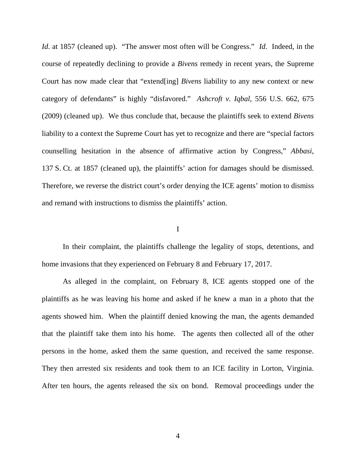*Id*. at 1857 (cleaned up). "The answer most often will be Congress." *Id*. Indeed, in the course of repeatedly declining to provide a *Bivens* remedy in recent years, the Supreme Court has now made clear that "extend[ing] *Bivens* liability to any new context or new category of defendants" is highly "disfavored." *Ashcroft v. Iqbal*, 556 U.S. 662, 675 (2009) (cleaned up). We thus conclude that, because the plaintiffs seek to extend *Bivens* liability to a context the Supreme Court has yet to recognize and there are "special factors counselling hesitation in the absence of affirmative action by Congress," *Abbasi*, 137 S. Ct. at 1857 (cleaned up), the plaintiffs' action for damages should be dismissed. Therefore, we reverse the district court's order denying the ICE agents' motion to dismiss and remand with instructions to dismiss the plaintiffs' action.

## I

In their complaint, the plaintiffs challenge the legality of stops, detentions, and home invasions that they experienced on February 8 and February 17, 2017.

As alleged in the complaint, on February 8, ICE agents stopped one of the plaintiffs as he was leaving his home and asked if he knew a man in a photo that the agents showed him. When the plaintiff denied knowing the man, the agents demanded that the plaintiff take them into his home. The agents then collected all of the other persons in the home, asked them the same question, and received the same response. They then arrested six residents and took them to an ICE facility in Lorton, Virginia. After ten hours, the agents released the six on bond. Removal proceedings under the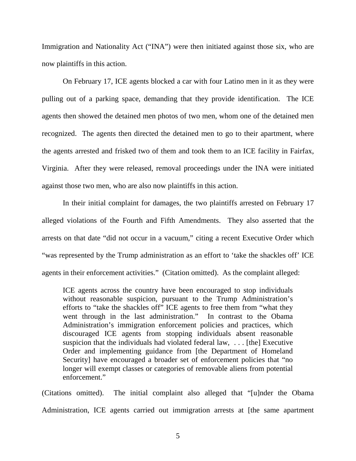Immigration and Nationality Act ("INA") were then initiated against those six, who are now plaintiffs in this action.

On February 17, ICE agents blocked a car with four Latino men in it as they were pulling out of a parking space, demanding that they provide identification. The ICE agents then showed the detained men photos of two men, whom one of the detained men recognized. The agents then directed the detained men to go to their apartment, where the agents arrested and frisked two of them and took them to an ICE facility in Fairfax, Virginia. After they were released, removal proceedings under the INA were initiated against those two men, who are also now plaintiffs in this action.

In their initial complaint for damages, the two plaintiffs arrested on February 17 alleged violations of the Fourth and Fifth Amendments. They also asserted that the arrests on that date "did not occur in a vacuum," citing a recent Executive Order which "was represented by the Trump administration as an effort to 'take the shackles off' ICE agents in their enforcement activities." (Citation omitted). As the complaint alleged:

ICE agents across the country have been encouraged to stop individuals without reasonable suspicion, pursuant to the Trump Administration's efforts to "take the shackles off" ICE agents to free them from "what they went through in the last administration." In contrast to the Obama Administration's immigration enforcement policies and practices, which discouraged ICE agents from stopping individuals absent reasonable suspicion that the individuals had violated federal law, . . . [the] Executive Order and implementing guidance from [the Department of Homeland Security] have encouraged a broader set of enforcement policies that "no longer will exempt classes or categories of removable aliens from potential enforcement."

(Citations omitted). The initial complaint also alleged that "[u]nder the Obama Administration, ICE agents carried out immigration arrests at [the same apartment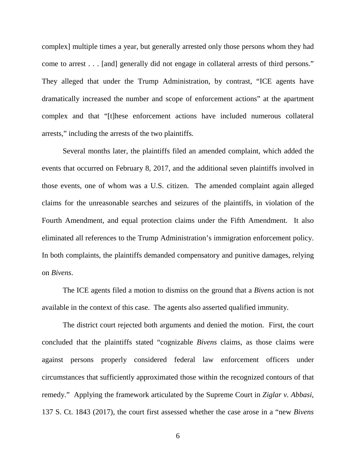complex] multiple times a year, but generally arrested only those persons whom they had come to arrest . . . [and] generally did not engage in collateral arrests of third persons." They alleged that under the Trump Administration, by contrast, "ICE agents have dramatically increased the number and scope of enforcement actions" at the apartment complex and that "[t]hese enforcement actions have included numerous collateral arrests," including the arrests of the two plaintiffs.

Several months later, the plaintiffs filed an amended complaint, which added the events that occurred on February 8, 2017, and the additional seven plaintiffs involved in those events, one of whom was a U.S. citizen. The amended complaint again alleged claims for the unreasonable searches and seizures of the plaintiffs, in violation of the Fourth Amendment, and equal protection claims under the Fifth Amendment. It also eliminated all references to the Trump Administration's immigration enforcement policy. In both complaints, the plaintiffs demanded compensatory and punitive damages, relying on *Bivens*.

The ICE agents filed a motion to dismiss on the ground that a *Bivens* action is not available in the context of this case. The agents also asserted qualified immunity.

The district court rejected both arguments and denied the motion. First, the court concluded that the plaintiffs stated "cognizable *Bivens* claims, as those claims were against persons properly considered federal law enforcement officers under circumstances that sufficiently approximated those within the recognized contours of that remedy." Applying the framework articulated by the Supreme Court in *Ziglar v. Abbasi*, 137 S. Ct. 1843 (2017), the court first assessed whether the case arose in a "new *Bivens*

6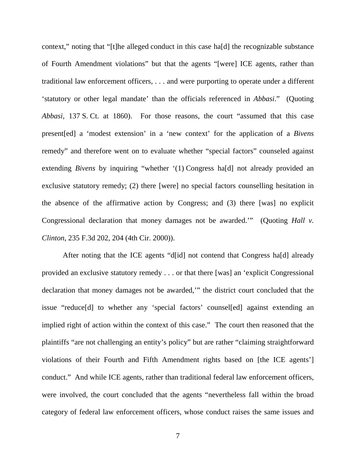context," noting that "[t]he alleged conduct in this case ha[d] the recognizable substance of Fourth Amendment violations" but that the agents "[were] ICE agents, rather than traditional law enforcement officers, . . . and were purporting to operate under a different 'statutory or other legal mandate' than the officials referenced in *Abbasi*." (Quoting *Abbasi*, 137 S. Ct. at 1860). For those reasons, the court "assumed that this case present[ed] a 'modest extension' in a 'new context' for the application of a *Bivens* remedy" and therefore went on to evaluate whether "special factors" counseled against extending *Bivens* by inquiring "whether '(1) Congress ha[d] not already provided an exclusive statutory remedy; (2) there [were] no special factors counselling hesitation in the absence of the affirmative action by Congress; and (3) there [was] no explicit Congressional declaration that money damages not be awarded.'" (Quoting *Hall v. Clinton*, 235 F.3d 202, 204 (4th Cir. 2000)).

After noting that the ICE agents "d[id] not contend that Congress ha[d] already provided an exclusive statutory remedy . . . or that there [was] an 'explicit Congressional declaration that money damages not be awarded,'" the district court concluded that the issue "reduce[d] to whether any 'special factors' counsel[ed] against extending an implied right of action within the context of this case." The court then reasoned that the plaintiffs "are not challenging an entity's policy" but are rather "claiming straightforward violations of their Fourth and Fifth Amendment rights based on [the ICE agents'] conduct." And while ICE agents, rather than traditional federal law enforcement officers, were involved, the court concluded that the agents "nevertheless fall within the broad category of federal law enforcement officers, whose conduct raises the same issues and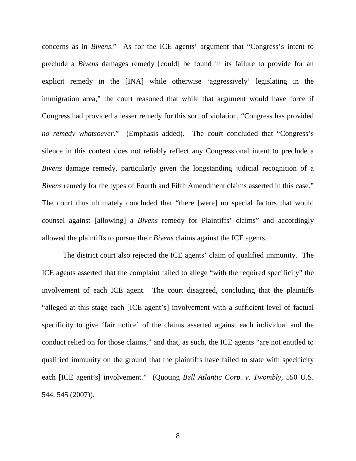concerns as in *Bivens*." As for the ICE agents' argument that "Congress's intent to preclude a *Bivens* damages remedy [could] be found in its failure to provide for an explicit remedy in the [INA] while otherwise 'aggressively' legislating in the immigration area," the court reasoned that while that argument would have force if Congress had provided a lesser remedy for this sort of violation, "Congress has provided *no remedy whatsoever*." (Emphasis added). The court concluded that "Congress's silence in this context does not reliably reflect any Congressional intent to preclude a *Bivens* damage remedy, particularly given the longstanding judicial recognition of a *Bivens* remedy for the types of Fourth and Fifth Amendment claims asserted in this case." The court thus ultimately concluded that "there [were] no special factors that would counsel against [allowing] a *Bivens* remedy for Plaintiffs' claims" and accordingly allowed the plaintiffs to pursue their *Bivens* claims against the ICE agents.

The district court also rejected the ICE agents' claim of qualified immunity. The ICE agents asserted that the complaint failed to allege "with the required specificity" the involvement of each ICE agent. The court disagreed, concluding that the plaintiffs "alleged at this stage each [ICE agent's] involvement with a sufficient level of factual specificity to give 'fair notice' of the claims asserted against each individual and the conduct relied on for those claims," and that, as such, the ICE agents "are not entitled to qualified immunity on the ground that the plaintiffs have failed to state with specificity each [ICE agent's] involvement." (Quoting *Bell Atlantic Corp. v. Twombly*, 550 U.S. 544, 545 (2007)).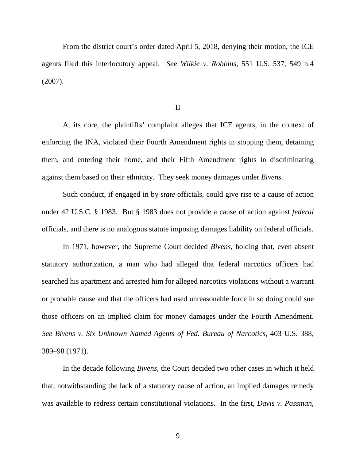From the district court's order dated April 5, 2018, denying their motion, the ICE agents filed this interlocutory appeal. *See Wilkie v. Robbins*, 551 U.S. 537, 549 n.4 (2007).

II

At its core, the plaintiffs' complaint alleges that ICE agents, in the context of enforcing the INA, violated their Fourth Amendment rights in stopping them, detaining them, and entering their home, and their Fifth Amendment rights in discriminating against them based on their ethnicity. They seek money damages under *Bivens*.

Such conduct, if engaged in by *state* officials, could give rise to a cause of action under 42 U.S.C. § 1983. But § 1983 does not provide a cause of action against *federal* officials, and there is no analogous statute imposing damages liability on federal officials.

In 1971, however, the Supreme Court decided *Bivens*, holding that, even absent statutory authorization, a man who had alleged that federal narcotics officers had searched his apartment and arrested him for alleged narcotics violations without a warrant or probable cause and that the officers had used unreasonable force in so doing could sue those officers on an implied claim for money damages under the Fourth Amendment. *See Bivens v. Six Unknown Named Agents of Fed. Bureau of Narcotics*, 403 U.S. 388, 389–98 (1971).

In the decade following *Bivens*, the Court decided two other cases in which it held that, notwithstanding the lack of a statutory cause of action, an implied damages remedy was available to redress certain constitutional violations. In the first, *Davis v. Passman*,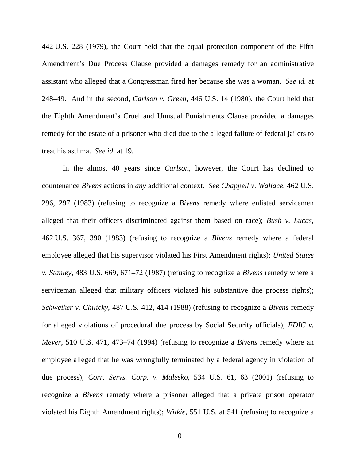442 U.S. 228 (1979), the Court held that the equal protection component of the Fifth Amendment's Due Process Clause provided a damages remedy for an administrative assistant who alleged that a Congressman fired her because she was a woman. *See id.* at 248–49. And in the second, *Carlson v. Green*, 446 U.S. 14 (1980), the Court held that the Eighth Amendment's Cruel and Unusual Punishments Clause provided a damages remedy for the estate of a prisoner who died due to the alleged failure of federal jailers to treat his asthma. *See id.* at 19.

In the almost 40 years since *Carlson*, however, the Court has declined to countenance *Bivens* actions in *any* additional context. *See Chappell v. Wallace*, 462 U.S. 296, 297 (1983) (refusing to recognize a *Bivens* remedy where enlisted servicemen alleged that their officers discriminated against them based on race); *Bush v. Lucas*, 462 U.S. 367, 390 (1983) (refusing to recognize a *Bivens* remedy where a federal employee alleged that his supervisor violated his First Amendment rights); *United States v. Stanley*, 483 U.S. 669, 671–72 (1987) (refusing to recognize a *Bivens* remedy where a serviceman alleged that military officers violated his substantive due process rights); *Schweiker v. Chilicky*, 487 U.S. 412, 414 (1988) (refusing to recognize a *Bivens* remedy for alleged violations of procedural due process by Social Security officials); *FDIC v. Meyer*, 510 U.S. 471, 473–74 (1994) (refusing to recognize a *Bivens* remedy where an employee alleged that he was wrongfully terminated by a federal agency in violation of due process); *Corr. Servs. Corp. v. Malesko*, 534 U.S. 61, 63 (2001) (refusing to recognize a *Bivens* remedy where a prisoner alleged that a private prison operator violated his Eighth Amendment rights); *Wilkie*, 551 U.S. at 541 (refusing to recognize a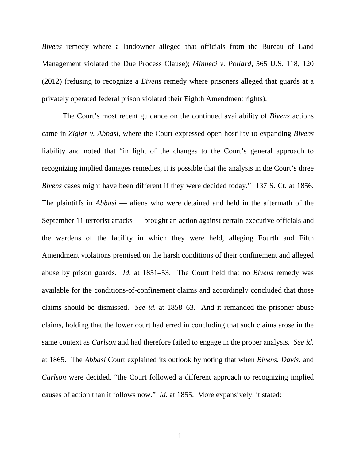*Bivens* remedy where a landowner alleged that officials from the Bureau of Land Management violated the Due Process Clause); *Minneci v. Pollard*, 565 U.S. 118, 120 (2012) (refusing to recognize a *Bivens* remedy where prisoners alleged that guards at a privately operated federal prison violated their Eighth Amendment rights).

The Court's most recent guidance on the continued availability of *Bivens* actions came in *Ziglar v. Abbasi*, where the Court expressed open hostility to expanding *Bivens*  liability and noted that "in light of the changes to the Court's general approach to recognizing implied damages remedies, it is possible that the analysis in the Court's three *Bivens* cases might have been different if they were decided today." 137 S. Ct. at 1856. The plaintiffs in *Abbasi* — aliens who were detained and held in the aftermath of the September 11 terrorist attacks — brought an action against certain executive officials and the wardens of the facility in which they were held, alleging Fourth and Fifth Amendment violations premised on the harsh conditions of their confinement and alleged abuse by prison guards. *Id.* at 1851–53. The Court held that no *Bivens* remedy was available for the conditions-of-confinement claims and accordingly concluded that those claims should be dismissed. *See id.* at 1858–63. And it remanded the prisoner abuse claims, holding that the lower court had erred in concluding that such claims arose in the same context as *Carlson* and had therefore failed to engage in the proper analysis. *See id.*  at 1865. The *Abbasi* Court explained its outlook by noting that when *Bivens*, *Davis*, and *Carlson* were decided, "the Court followed a different approach to recognizing implied causes of action than it follows now." *Id*. at 1855. More expansively, it stated: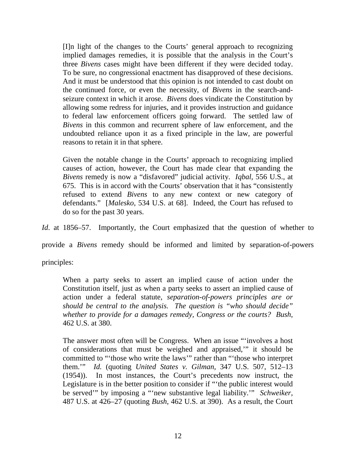[I]n light of the changes to the Courts' general approach to recognizing implied damages remedies, it is possible that the analysis in the Court's three *Bivens* cases might have been different if they were decided today. To be sure, no congressional enactment has disapproved of these decisions. And it must be understood that this opinion is not intended to cast doubt on the continued force, or even the necessity, of *Bivens* in the search-andseizure context in which it arose. *Bivens* does vindicate the Constitution by allowing some redress for injuries, and it provides instruction and guidance to federal law enforcement officers going forward. The settled law of *Bivens* in this common and recurrent sphere of law enforcement, and the undoubted reliance upon it as a fixed principle in the law, are powerful reasons to retain it in that sphere.

Given the notable change in the Courts' approach to recognizing implied causes of action, however, the Court has made clear that expanding the *Bivens* remedy is now a "disfavored" judicial activity. *Iqbal*, 556 U.S., at 675. This is in accord with the Courts' observation that it has "consistently refused to extend *Bivens* to any new context or new category of defendants." [*Malesko*, 534 U.S. at 68]. Indeed, the Court has refused to do so for the past 30 years.

*Id.* at 1856–57. Importantly, the Court emphasized that the question of whether to

provide a *Bivens* remedy should be informed and limited by separation-of-powers

principles:

When a party seeks to assert an implied cause of action under the Constitution itself, just as when a party seeks to assert an implied cause of action under a federal statute, *separation-of-powers principles are or should be central to the analysis. The question is "who should decide" whether to provide for a damages remedy, Congress or the courts? Bush*, 462 U.S. at 380.

The answer most often will be Congress. When an issue "'involves a host of considerations that must be weighed and appraised,'" it should be committed to "'those who write the laws'" rather than "'those who interpret them.'" *Id.* (quoting *United States v. Gilman*, 347 U.S. 507, 512–13 (1954)). In most instances, the Court's precedents now instruct, the Legislature is in the better position to consider if "'the public interest would be served'" by imposing a "'new substantive legal liability.'" *Schweiker*, 487 U.S. at 426–27 (quoting *Bush*, 462 U.S. at 390). As a result, the Court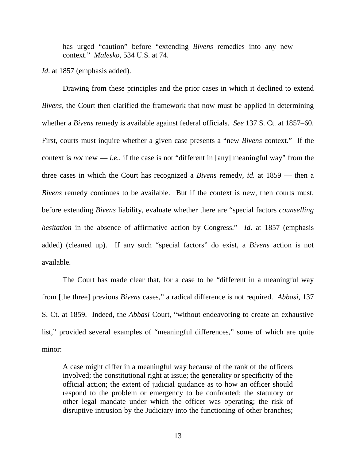has urged "caution" before "extending *Bivens* remedies into any new context." *Malesko*, 534 U.S. at 74.

*Id.* at 1857 (emphasis added).

Drawing from these principles and the prior cases in which it declined to extend *Bivens*, the Court then clarified the framework that now must be applied in determining whether a *Bivens* remedy is available against federal officials. *See* 137 S. Ct. at 1857–60. First, courts must inquire whether a given case presents a "new *Bivens* context." If the context is *not* new — *i.e.*, if the case is not "different in [any] meaningful way" from the three cases in which the Court has recognized a *Bivens* remedy, *id.* at 1859 — then a *Bivens* remedy continues to be available. But if the context is new, then courts must, before extending *Bivens* liability, evaluate whether there are "special factors *counselling hesitation* in the absence of affirmative action by Congress." *Id.* at 1857 (emphasis added) (cleaned up). If any such "special factors" do exist, a *Bivens* action is not available.

The Court has made clear that, for a case to be "different in a meaningful way from [the three] previous *Bivens* cases," a radical difference is not required. *Abbasi*, 137 S. Ct. at 1859. Indeed, the *Abbasi* Court, "without endeavoring to create an exhaustive list," provided several examples of "meaningful differences," some of which are quite minor:

A case might differ in a meaningful way because of the rank of the officers involved; the constitutional right at issue; the generality or specificity of the official action; the extent of judicial guidance as to how an officer should respond to the problem or emergency to be confronted; the statutory or other legal mandate under which the officer was operating; the risk of disruptive intrusion by the Judiciary into the functioning of other branches;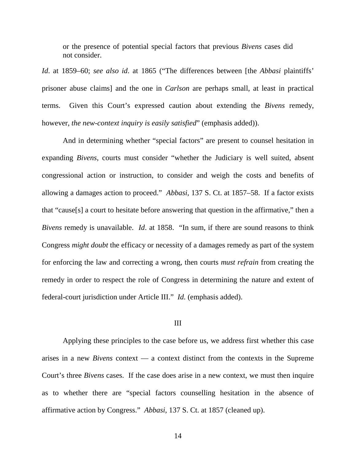or the presence of potential special factors that previous *Bivens* cases did not consider.

*Id*. at 1859–60; *see also id*. at 1865 ("The differences between [the *Abbasi* plaintiffs' prisoner abuse claims] and the one in *Carlson* are perhaps small, at least in practical terms. Given this Court's expressed caution about extending the *Bivens* remedy, however, *the new-context inquiry is easily satisfied*" (emphasis added)).

And in determining whether "special factors" are present to counsel hesitation in expanding *Bivens*, courts must consider "whether the Judiciary is well suited, absent congressional action or instruction, to consider and weigh the costs and benefits of allowing a damages action to proceed." *Abbasi*, 137 S. Ct. at 1857–58. If a factor exists that "cause[s] a court to hesitate before answering that question in the affirmative," then a *Bivens* remedy is unavailable. *Id*. at 1858. "In sum, if there are sound reasons to think Congress *might doubt* the efficacy or necessity of a damages remedy as part of the system for enforcing the law and correcting a wrong, then courts *must refrain* from creating the remedy in order to respect the role of Congress in determining the nature and extent of federal-court jurisdiction under Article III." *Id.* (emphasis added).

#### III

Applying these principles to the case before us, we address first whether this case arises in a new *Bivens* context — a context distinct from the contexts in the Supreme Court's three *Bivens* cases. If the case does arise in a new context, we must then inquire as to whether there are "special factors counselling hesitation in the absence of affirmative action by Congress." *Abbasi*, 137 S. Ct. at 1857 (cleaned up).

14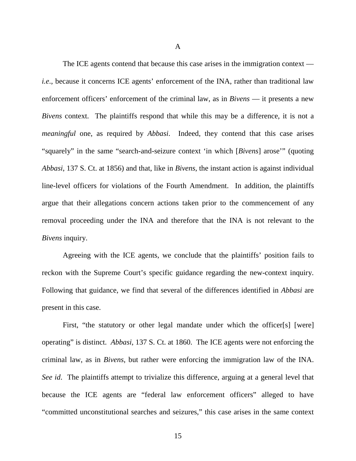A

The ICE agents contend that because this case arises in the immigration context *i.e.*, because it concerns ICE agents' enforcement of the INA, rather than traditional law enforcement officers' enforcement of the criminal law, as in *Bivens* — it presents a new *Bivens* context. The plaintiffs respond that while this may be a difference, it is not a *meaningful* one, as required by *Abbasi*. Indeed, they contend that this case arises "squarely" in the same "search-and-seizure context 'in which [*Bivens*] arose'" (quoting *Abbasi*, 137 S. Ct. at 1856) and that, like in *Bivens*, the instant action is against individual line-level officers for violations of the Fourth Amendment. In addition, the plaintiffs argue that their allegations concern actions taken prior to the commencement of any removal proceeding under the INA and therefore that the INA is not relevant to the *Bivens* inquiry.

Agreeing with the ICE agents, we conclude that the plaintiffs' position fails to reckon with the Supreme Court's specific guidance regarding the new-context inquiry. Following that guidance, we find that several of the differences identified in *Abbasi* are present in this case.

First, "the statutory or other legal mandate under which the officer[s] [were] operating" is distinct. *Abbasi*, 137 S. Ct. at 1860. The ICE agents were not enforcing the criminal law, as in *Bivens*, but rather were enforcing the immigration law of the INA. *See id*. The plaintiffs attempt to trivialize this difference, arguing at a general level that because the ICE agents are "federal law enforcement officers" alleged to have "committed unconstitutional searches and seizures," this case arises in the same context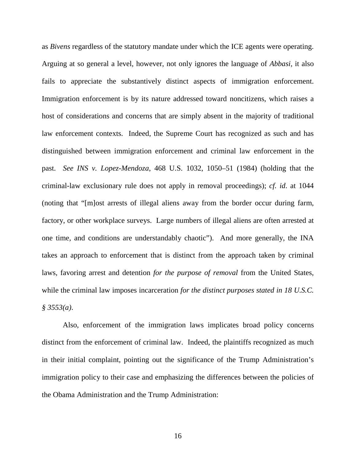as *Bivens* regardless of the statutory mandate under which the ICE agents were operating. Arguing at so general a level, however, not only ignores the language of *Abbasi*, it also fails to appreciate the substantively distinct aspects of immigration enforcement. Immigration enforcement is by its nature addressed toward noncitizens, which raises a host of considerations and concerns that are simply absent in the majority of traditional law enforcement contexts. Indeed, the Supreme Court has recognized as such and has distinguished between immigration enforcement and criminal law enforcement in the past. *See INS v. Lopez-Mendoza*, 468 U.S. 1032, 1050–51 (1984) (holding that the criminal-law exclusionary rule does not apply in removal proceedings); *cf. id*. at 1044 (noting that "[m]ost arrests of illegal aliens away from the border occur during farm, factory, or other workplace surveys. Large numbers of illegal aliens are often arrested at one time, and conditions are understandably chaotic"). And more generally, the INA takes an approach to enforcement that is distinct from the approach taken by criminal laws, favoring arrest and detention *for the purpose of removal* from the United States, while the criminal law imposes incarceration *for the distinct purposes stated in 18 U.S.C. § 3553(a)*.

Also, enforcement of the immigration laws implicates broad policy concerns distinct from the enforcement of criminal law. Indeed, the plaintiffs recognized as much in their initial complaint, pointing out the significance of the Trump Administration's immigration policy to their case and emphasizing the differences between the policies of the Obama Administration and the Trump Administration: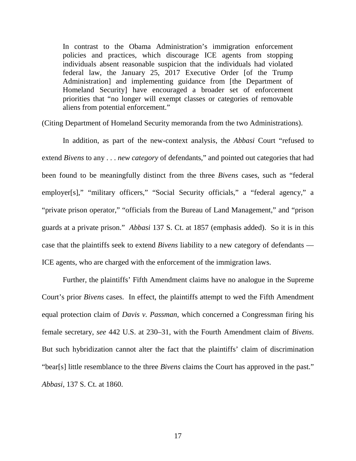In contrast to the Obama Administration's immigration enforcement policies and practices, which discourage ICE agents from stopping individuals absent reasonable suspicion that the individuals had violated federal law, the January 25, 2017 Executive Order [of the Trump Administration] and implementing guidance from [the Department of Homeland Security] have encouraged a broader set of enforcement priorities that "no longer will exempt classes or categories of removable aliens from potential enforcement."

(Citing Department of Homeland Security memoranda from the two Administrations).

In addition, as part of the new-context analysis, the *Abbasi* Court "refused to extend *Bivens* to any . . . *new category* of defendants," and pointed out categories that had been found to be meaningfully distinct from the three *Bivens* cases, such as "federal employer[s]," "military officers," "Social Security officials," a "federal agency," a "private prison operator," "officials from the Bureau of Land Management," and "prison guards at a private prison." *Abbasi* 137 S. Ct. at 1857 (emphasis added). So it is in this case that the plaintiffs seek to extend *Bivens* liability to a new category of defendants — ICE agents, who are charged with the enforcement of the immigration laws.

Further, the plaintiffs' Fifth Amendment claims have no analogue in the Supreme Court's prior *Bivens* cases. In effect, the plaintiffs attempt to wed the Fifth Amendment equal protection claim of *Davis v. Passman*, which concerned a Congressman firing his female secretary, *see* 442 U.S. at 230–31, with the Fourth Amendment claim of *Bivens*. But such hybridization cannot alter the fact that the plaintiffs' claim of discrimination "bear[s] little resemblance to the three *Bivens* claims the Court has approved in the past." *Abbasi*, 137 S. Ct. at 1860.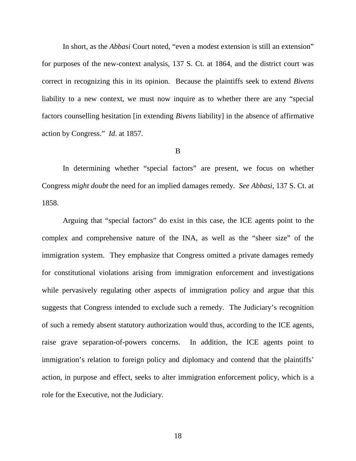In short, as the *Abbasi* Court noted, "even a modest extension is still an extension" for purposes of the new-context analysis, 137 S. Ct. at 1864, and the district court was correct in recognizing this in its opinion. Because the plaintiffs seek to extend *Bivens* liability to a new context, we must now inquire as to whether there are any "special factors counselling hesitation [in extending *Bivens* liability] in the absence of affirmative action by Congress." *Id*. at 1857.

#### B

In determining whether "special factors" are present, we focus on whether Congress *might doubt* the need for an implied damages remedy. *See Abbasi*, 137 S. Ct. at 1858.

Arguing that "special factors" do exist in this case, the ICE agents point to the complex and comprehensive nature of the INA, as well as the "sheer size" of the immigration system. They emphasize that Congress omitted a private damages remedy for constitutional violations arising from immigration enforcement and investigations while pervasively regulating other aspects of immigration policy and argue that this suggests that Congress intended to exclude such a remedy. The Judiciary's recognition of such a remedy absent statutory authorization would thus, according to the ICE agents, raise grave separation-of-powers concerns. In addition, the ICE agents point to immigration's relation to foreign policy and diplomacy and contend that the plaintiffs' action, in purpose and effect, seeks to alter immigration enforcement policy, which is a role for the Executive, not the Judiciary.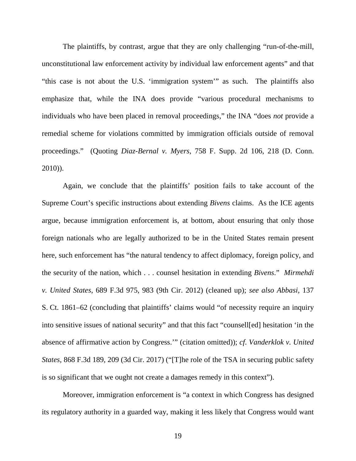The plaintiffs, by contrast, argue that they are only challenging "run-of-the-mill, unconstitutional law enforcement activity by individual law enforcement agents" and that "this case is not about the U.S. 'immigration system'" as such. The plaintiffs also emphasize that, while the INA does provide "various procedural mechanisms to individuals who have been placed in removal proceedings," the INA "does *not* provide a remedial scheme for violations committed by immigration officials outside of removal proceedings." (Quoting *Diaz-Bernal v. Myers*, 758 F. Supp. 2d 106, 218 (D. Conn. 2010)).

Again, we conclude that the plaintiffs' position fails to take account of the Supreme Court's specific instructions about extending *Bivens* claims. As the ICE agents argue, because immigration enforcement is, at bottom, about ensuring that only those foreign nationals who are legally authorized to be in the United States remain present here, such enforcement has "the natural tendency to affect diplomacy, foreign policy, and the security of the nation, which . . . counsel hesitation in extending *Bivens*." *Mirmehdi v. United States*, 689 F.3d 975, 983 (9th Cir. 2012) (cleaned up); *see also Abbasi*, 137 S. Ct. 1861–62 (concluding that plaintiffs' claims would "of necessity require an inquiry into sensitive issues of national security" and that this fact "counsell[ed] hesitation 'in the absence of affirmative action by Congress.'" (citation omitted)); *cf*. *Vanderklok v. United States*, 868 F.3d 189, 209 (3d Cir. 2017) ("[T]he role of the TSA in securing public safety is so significant that we ought not create a damages remedy in this context").

Moreover, immigration enforcement is "a context in which Congress has designed its regulatory authority in a guarded way, making it less likely that Congress would want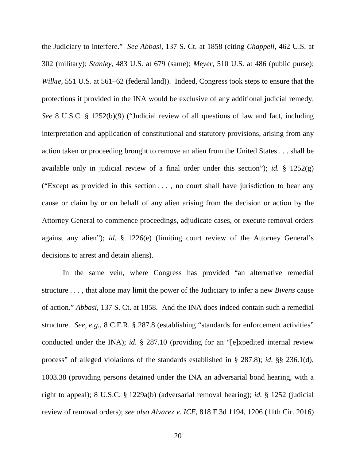the Judiciary to interfere." *See Abbasi*, 137 S. Ct. at 1858 (citing *Chappell*, 462 U.S. at 302 (military); *Stanley*, 483 U.S. at 679 (same); *Meyer*, 510 U.S. at 486 (public purse); *Wilkie*, 551 U.S. at 561–62 (federal land)). Indeed, Congress took steps to ensure that the protections it provided in the INA would be exclusive of any additional judicial remedy. *See* 8 U.S.C. § 1252(b)(9) ("Judicial review of all questions of law and fact, including interpretation and application of constitutional and statutory provisions, arising from any action taken or proceeding brought to remove an alien from the United States . . . shall be available only in judicial review of a final order under this section"); *id.* § 1252(g) ("Except as provided in this section . . . , no court shall have jurisdiction to hear any cause or claim by or on behalf of any alien arising from the decision or action by the Attorney General to commence proceedings, adjudicate cases, or execute removal orders against any alien"); *id*. § 1226(e) (limiting court review of the Attorney General's decisions to arrest and detain aliens).

In the same vein, where Congress has provided "an alternative remedial structure . . . , that alone may limit the power of the Judiciary to infer a new *Bivens* cause of action." *Abbasi*, 137 S. Ct. at 1858. And the INA does indeed contain such a remedial structure. *See, e.g.*, 8 C.F.R. § 287.8 (establishing "standards for enforcement activities" conducted under the INA); *id*. § 287.10 (providing for an "[e]xpedited internal review process" of alleged violations of the standards established in § 287.8); *id*. §§ 236.1(d), 1003.38 (providing persons detained under the INA an adversarial bond hearing, with a right to appeal); 8 U.S.C. § 1229a(b) (adversarial removal hearing); *id.* § 1252 (judicial review of removal orders); *see also Alvarez v. ICE*, 818 F.3d 1194, 1206 (11th Cir. 2016)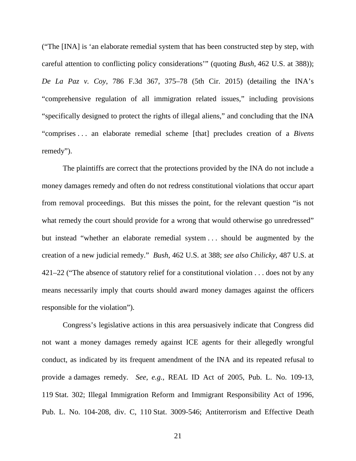("The [INA] is 'an elaborate remedial system that has been constructed step by step, with careful attention to conflicting policy considerations'" (quoting *Bush,* 462 U.S. at 388)); *De La Paz v. Coy*, 786 F.3d 367, 375–78 (5th Cir. 2015) (detailing the INA's "comprehensive regulation of all immigration related issues," including provisions "specifically designed to protect the rights of illegal aliens," and concluding that the INA "comprises . . . an elaborate remedial scheme [that] precludes creation of a *Bivens*  remedy").

The plaintiffs are correct that the protections provided by the INA do not include a money damages remedy and often do not redress constitutional violations that occur apart from removal proceedings. But this misses the point, for the relevant question "is not what remedy the court should provide for a wrong that would otherwise go unredressed" but instead "whether an elaborate remedial system . . . should be augmented by the creation of a new judicial remedy." *Bush*, 462 U.S. at 388; *see also Chilicky*, 487 U.S. at 421–22 ("The absence of statutory relief for a constitutional violation . . . does not by any means necessarily imply that courts should award money damages against the officers responsible for the violation").

Congress's legislative actions in this area persuasively indicate that Congress did not want a money damages remedy against ICE agents for their allegedly wrongful conduct, as indicated by its frequent amendment of the INA and its repeated refusal to provide a damages remedy. *See, e.g.*, REAL ID Act of 2005, Pub. L. No. 109-13, 119 Stat. 302; Illegal Immigration Reform and Immigrant Responsibility Act of 1996, Pub. L. No. 104-208, div. C, 110 Stat. 3009-546; Antiterrorism and Effective Death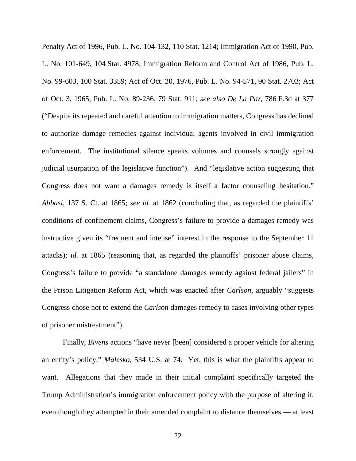Penalty Act of 1996, Pub. L. No. 104-132, 110 Stat. 1214; Immigration Act of 1990, Pub. L. No. 101-649, 104 Stat. 4978; Immigration Reform and Control Act of 1986, Pub. L. No. 99-603, 100 Stat. 3359; Act of Oct. 20, 1976, Pub. L. No. 94-571, 90 Stat. 2703; Act of Oct. 3, 1965, Pub. L. No. 89-236, 79 Stat. 911; *see also De La Paz*, 786 F.3d at 377 ("Despite its repeated and careful attention to immigration matters, Congress has declined to authorize damage remedies against individual agents involved in civil immigration enforcement. The institutional silence speaks volumes and counsels strongly against judicial usurpation of the legislative function"). And "legislative action suggesting that Congress does not want a damages remedy is itself a factor counseling hesitation." *Abbasi*, 137 S. Ct. at 1865; *see id.* at 1862 (concluding that, as regarded the plaintiffs' conditions-of-confinement claims, Congress's failure to provide a damages remedy was instructive given its "frequent and intense" interest in the response to the September 11 attacks); *id.* at 1865 (reasoning that, as regarded the plaintiffs' prisoner abuse claims, Congress's failure to provide "a standalone damages remedy against federal jailers" in the Prison Litigation Reform Act, which was enacted after *Carlson*, arguably "suggests Congress chose not to extend the *Carlson* damages remedy to cases involving other types of prisoner mistreatment").

Finally, *Bivens* actions "have never [been] considered a proper vehicle for altering an entity's policy." *Malesko*, 534 U.S. at 74. Yet, this is what the plaintiffs appear to want. Allegations that they made in their initial complaint specifically targeted the Trump Administration's immigration enforcement policy with the purpose of altering it, even though they attempted in their amended complaint to distance themselves — at least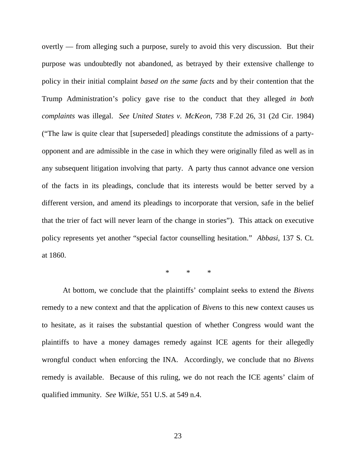overtly — from alleging such a purpose, surely to avoid this very discussion. But their purpose was undoubtedly not abandoned, as betrayed by their extensive challenge to policy in their initial complaint *based on the same facts* and by their contention that the Trump Administration's policy gave rise to the conduct that they alleged *in both complaints* was illegal. *See United States v. McKeon*, 738 F.2d 26, 31 (2d Cir. 1984) ("The law is quite clear that [superseded] pleadings constitute the admissions of a partyopponent and are admissible in the case in which they were originally filed as well as in any subsequent litigation involving that party. A party thus cannot advance one version of the facts in its pleadings, conclude that its interests would be better served by a different version, and amend its pleadings to incorporate that version, safe in the belief that the trier of fact will never learn of the change in stories"). This attack on executive policy represents yet another "special factor counselling hesitation." *Abbasi*, 137 S. Ct. at 1860.

\* \* \*

At bottom, we conclude that the plaintiffs' complaint seeks to extend the *Bivens* remedy to a new context and that the application of *Bivens* to this new context causes us to hesitate, as it raises the substantial question of whether Congress would want the plaintiffs to have a money damages remedy against ICE agents for their allegedly wrongful conduct when enforcing the INA. Accordingly, we conclude that no *Bivens* remedy is available. Because of this ruling, we do not reach the ICE agents' claim of qualified immunity. *See Wilkie*, 551 U.S. at 549 n.4.

23